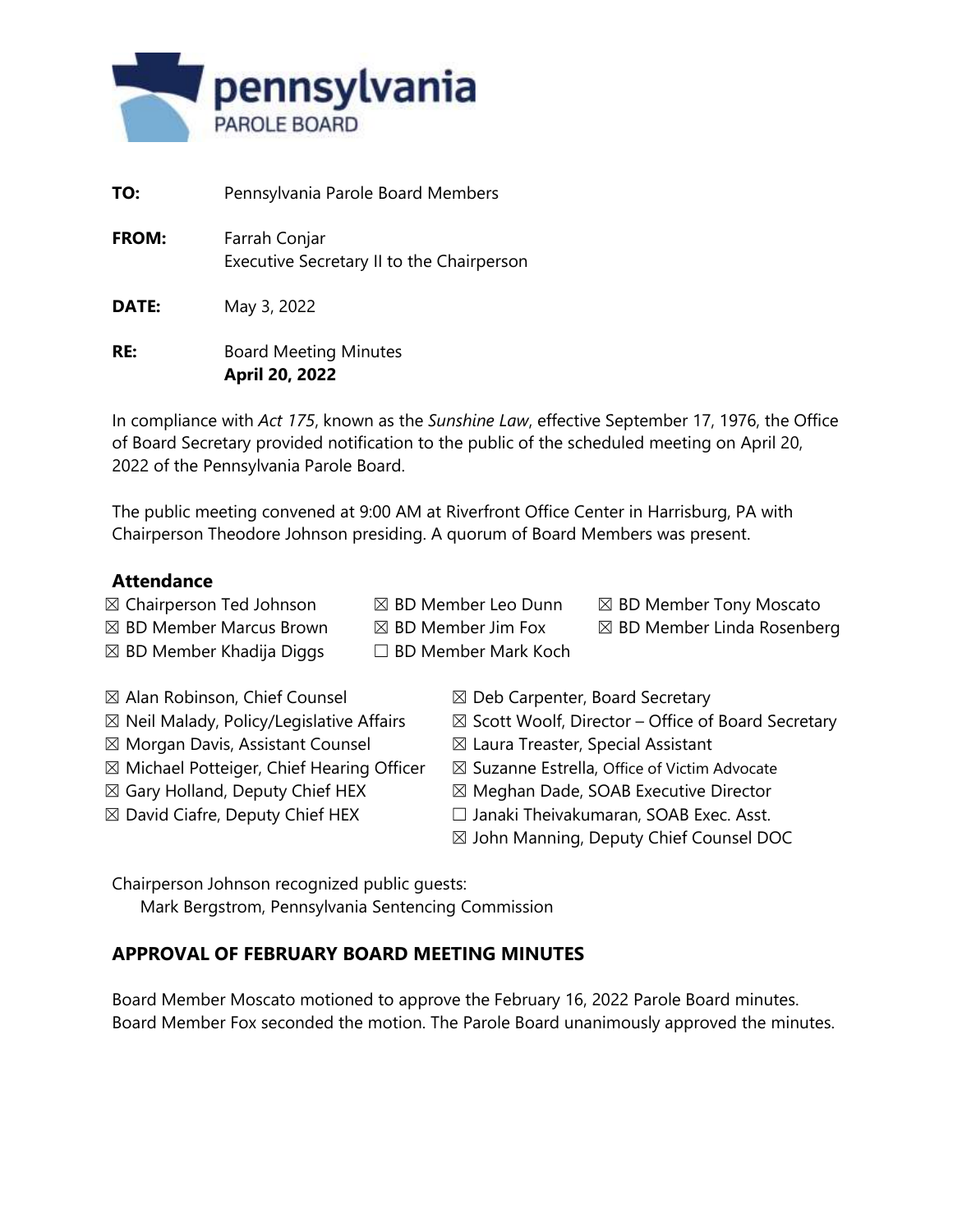

| TO:          | Pennsylvania Parole Board Members                          |
|--------------|------------------------------------------------------------|
| <b>FROM:</b> | Farrah Conjar<br>Executive Secretary II to the Chairperson |
| DATE:        | May 3, 2022                                                |
| RE:          | <b>Board Meeting Minutes</b>                               |

**April 20, 2022**

In compliance with *Act 175*, known as the *Sunshine Law*, effective September 17, 1976, the Office of Board Secretary provided notification to the public of the scheduled meeting on April 20, 2022 of the Pennsylvania Parole Board.

The public meeting convened at 9:00 AM at Riverfront Office Center in Harrisburg, PA with Chairperson Theodore Johnson presiding. A quorum of Board Members was present.

## **Attendance**

- $\boxtimes$  Chairperson Ted Johnson  $\boxtimes$  BD Member Leo Dunn  $\boxtimes$  BD Member Tony Moscato
	-
- 
- $\boxtimes$  BD Member Marcus Brown  $\boxtimes$  BD Member Jim Fox  $\boxtimes$  BD Member Linda Rosenberg
- $\boxtimes$  BD Member Khadija Diggs  $□$  BD Member Mark Koch
- 
- 
- 
- $\boxtimes$  Morgan Davis, Assistant Counsel  $\boxtimes$  Laura Treaster, Special Assistant
- $\boxtimes$  Michael Potteiger, Chief Hearing Officer  $\boxtimes$  Suzanne Estrella, Office of Victim Advocate
- 
- 
- $\boxtimes$  Alan Robinson, Chief Counsel  $\boxtimes$  Deb Carpenter, Board Secretary
- $\boxtimes$  Neil Malady, Policy/Legislative Affairs  $\boxtimes$  Scott Woolf, Director Office of Board Secretary
	-
	-
- $\boxtimes$  Gary Holland, Deputy Chief HEX  $\boxtimes$  Meghan Dade, SOAB Executive Director
- ☒ David Ciafre, Deputy Chief HEX ☐ Janaki Theivakumaran, SOAB Exec. Asst.
	- ☒ John Manning, Deputy Chief Counsel DOC

Chairperson Johnson recognized public guests:

Mark Bergstrom, Pennsylvania Sentencing Commission

# **APPROVAL OF FEBRUARY BOARD MEETING MINUTES**

Board Member Moscato motioned to approve the February 16, 2022 Parole Board minutes. Board Member Fox seconded the motion. The Parole Board unanimously approved the minutes.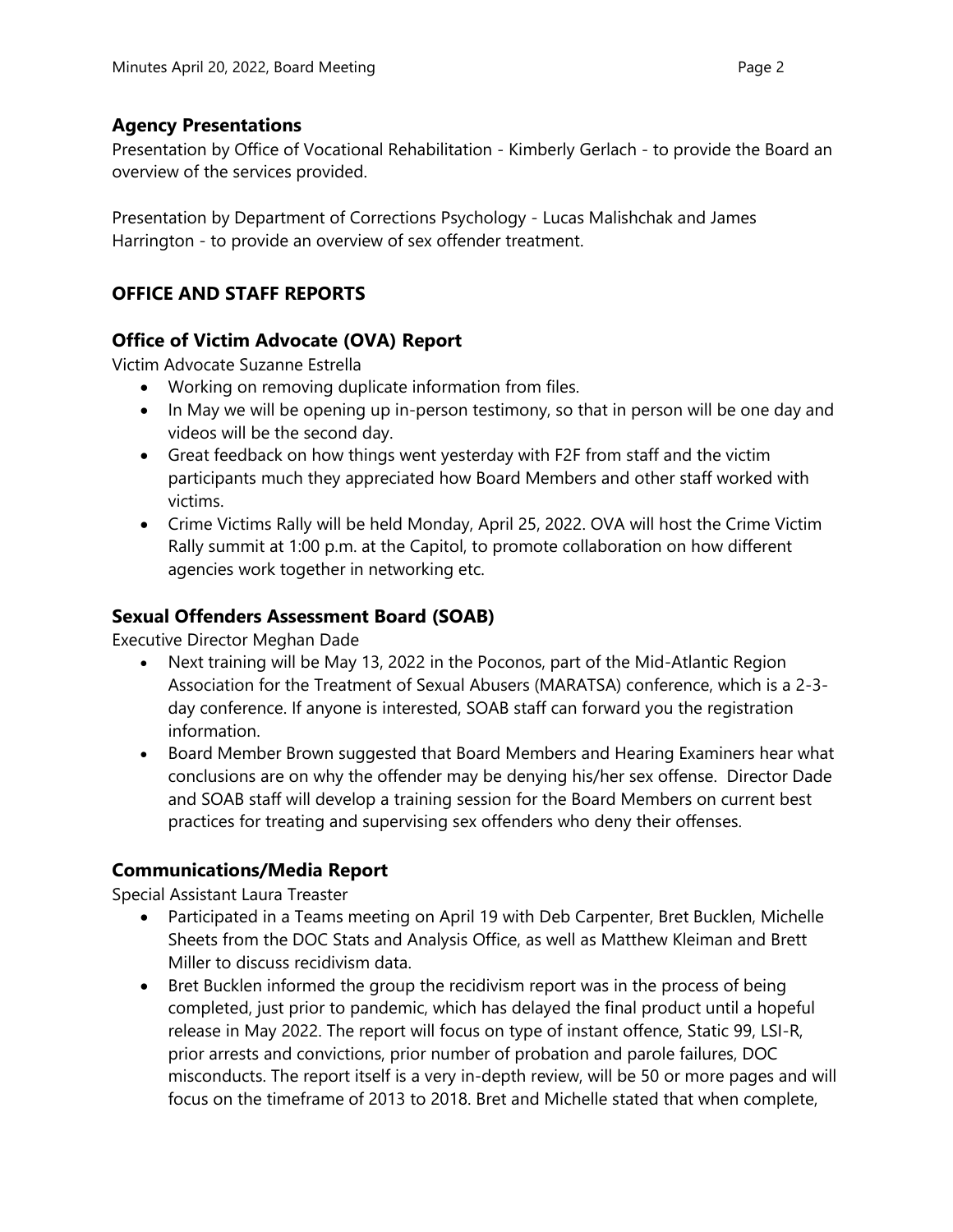#### **Agency Presentations**

Presentation by Office of Vocational Rehabilitation - Kimberly Gerlach - to provide the Board an overview of the services provided.

Presentation by Department of Corrections Psychology - Lucas Malishchak and James Harrington - to provide an overview of sex offender treatment.

# **OFFICE AND STAFF REPORTS**

#### **Office of Victim Advocate (OVA) Report**

Victim Advocate Suzanne Estrella

- Working on removing duplicate information from files.
- In May we will be opening up in-person testimony, so that in person will be one day and videos will be the second day.
- Great feedback on how things went yesterday with F2F from staff and the victim participants much they appreciated how Board Members and other staff worked with victims.
- Crime Victims Rally will be held Monday, April 25, 2022. OVA will host the Crime Victim Rally summit at 1:00 p.m. at the Capitol, to promote collaboration on how different agencies work together in networking etc.

## **Sexual Offenders Assessment Board (SOAB)**

Executive Director Meghan Dade

- Next training will be May 13, 2022 in the Poconos, part of the Mid-Atlantic Region Association for the Treatment of Sexual Abusers (MARATSA) conference, which is a 2-3 day conference. If anyone is interested, SOAB staff can forward you the registration information.
- Board Member Brown suggested that Board Members and Hearing Examiners hear what conclusions are on why the offender may be denying his/her sex offense. Director Dade and SOAB staff will develop a training session for the Board Members on current best practices for treating and supervising sex offenders who deny their offenses.

## **Communications/Media Report**

Special Assistant Laura Treaster

- Participated in a Teams meeting on April 19 with Deb Carpenter, Bret Bucklen, Michelle Sheets from the DOC Stats and Analysis Office, as well as Matthew Kleiman and Brett Miller to discuss recidivism data.
- Bret Bucklen informed the group the recidivism report was in the process of being completed, just prior to pandemic, which has delayed the final product until a hopeful release in May 2022. The report will focus on type of instant offence, Static 99, LSI-R, prior arrests and convictions, prior number of probation and parole failures, DOC misconducts. The report itself is a very in-depth review, will be 50 or more pages and will focus on the timeframe of 2013 to 2018. Bret and Michelle stated that when complete,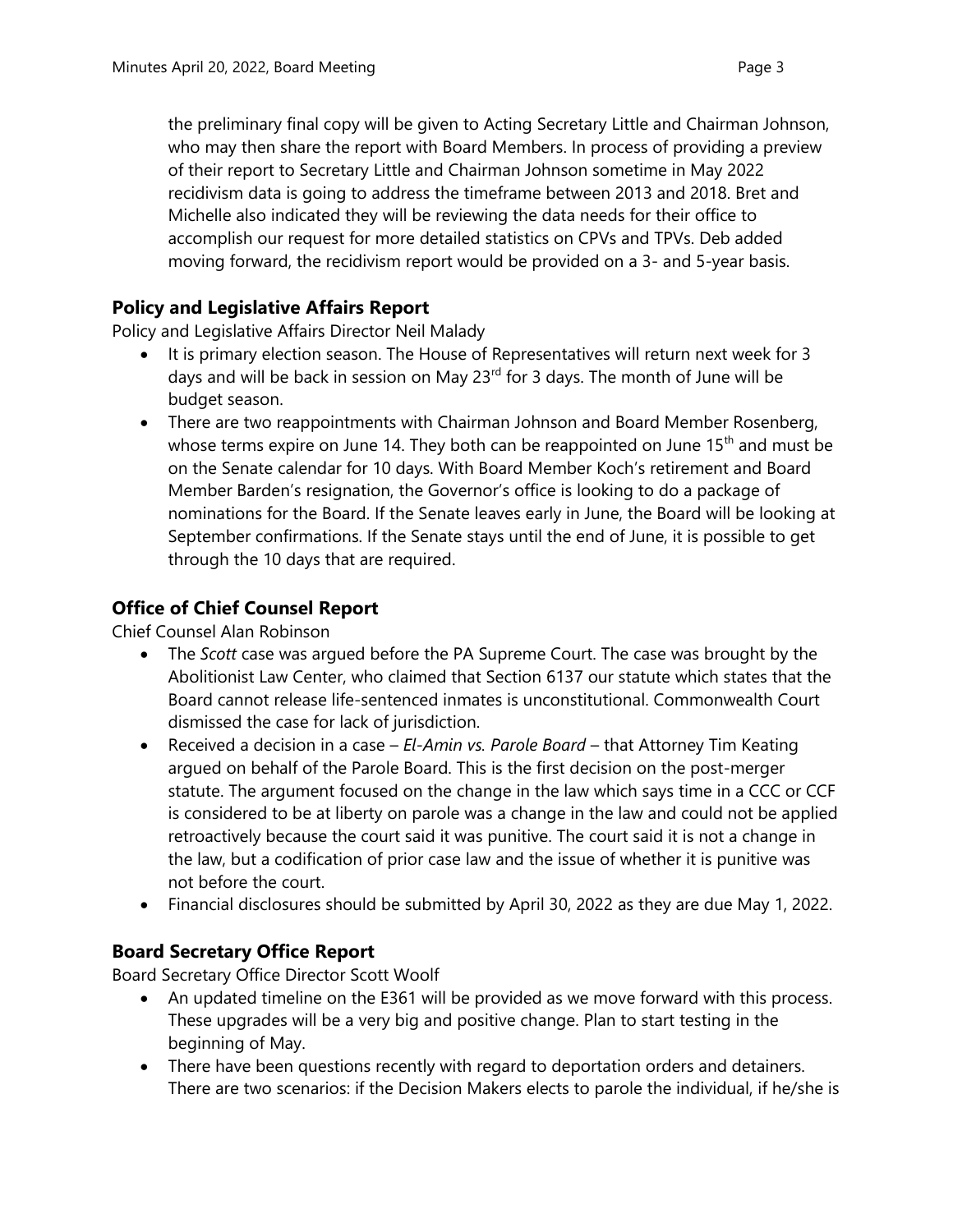the preliminary final copy will be given to Acting Secretary Little and Chairman Johnson, who may then share the report with Board Members. In process of providing a preview of their report to Secretary Little and Chairman Johnson sometime in May 2022 recidivism data is going to address the timeframe between 2013 and 2018. Bret and Michelle also indicated they will be reviewing the data needs for their office to accomplish our request for more detailed statistics on CPVs and TPVs. Deb added moving forward, the recidivism report would be provided on a 3- and 5-year basis.

#### **Policy and Legislative Affairs Report**

Policy and Legislative Affairs Director Neil Malady

- It is primary election season. The House of Representatives will return next week for 3 days and will be back in session on May  $23<sup>rd</sup>$  for 3 days. The month of June will be budget season.
- There are two reappointments with Chairman Johnson and Board Member Rosenberg, whose terms expire on June 14. They both can be reappointed on June  $15<sup>th</sup>$  and must be on the Senate calendar for 10 days. With Board Member Koch's retirement and Board Member Barden's resignation, the Governor's office is looking to do a package of nominations for the Board. If the Senate leaves early in June, the Board will be looking at September confirmations. If the Senate stays until the end of June, it is possible to get through the 10 days that are required.

# **Office of Chief Counsel Report**

Chief Counsel Alan Robinson

- The *Scott* case was argued before the PA Supreme Court. The case was brought by the Abolitionist Law Center, who claimed that Section 6137 our statute which states that the Board cannot release life-sentenced inmates is unconstitutional. Commonwealth Court dismissed the case for lack of jurisdiction.
- Received a decision in a case *El-Amin vs. Parole Board* that Attorney Tim Keating argued on behalf of the Parole Board. This is the first decision on the post-merger statute. The argument focused on the change in the law which says time in a CCC or CCF is considered to be at liberty on parole was a change in the law and could not be applied retroactively because the court said it was punitive. The court said it is not a change in the law, but a codification of prior case law and the issue of whether it is punitive was not before the court.
- Financial disclosures should be submitted by April 30, 2022 as they are due May 1, 2022.

## **Board Secretary Office Report**

Board Secretary Office Director Scott Woolf

- An updated timeline on the E361 will be provided as we move forward with this process. These upgrades will be a very big and positive change. Plan to start testing in the beginning of May.
- There have been questions recently with regard to deportation orders and detainers. There are two scenarios: if the Decision Makers elects to parole the individual, if he/she is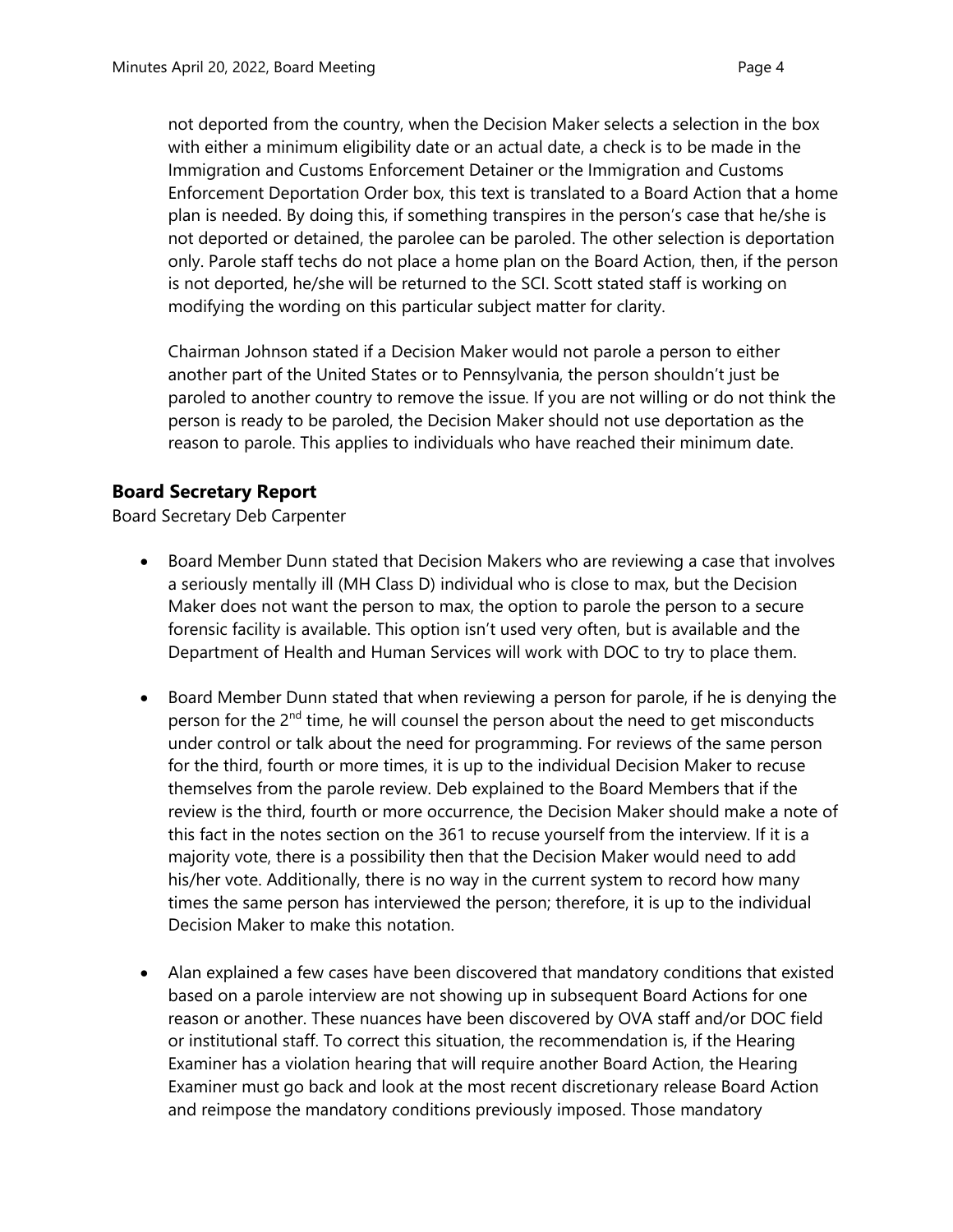not deported from the country, when the Decision Maker selects a selection in the box with either a minimum eligibility date or an actual date, a check is to be made in the Immigration and Customs Enforcement Detainer or the Immigration and Customs Enforcement Deportation Order box, this text is translated to a Board Action that a home plan is needed. By doing this, if something transpires in the person's case that he/she is not deported or detained, the parolee can be paroled. The other selection is deportation only. Parole staff techs do not place a home plan on the Board Action, then, if the person is not deported, he/she will be returned to the SCI. Scott stated staff is working on modifying the wording on this particular subject matter for clarity.

Chairman Johnson stated if a Decision Maker would not parole a person to either another part of the United States or to Pennsylvania, the person shouldn't just be paroled to another country to remove the issue. If you are not willing or do not think the person is ready to be paroled, the Decision Maker should not use deportation as the reason to parole. This applies to individuals who have reached their minimum date.

## **Board Secretary Report**

Board Secretary Deb Carpenter

- Board Member Dunn stated that Decision Makers who are reviewing a case that involves a seriously mentally ill (MH Class D) individual who is close to max, but the Decision Maker does not want the person to max, the option to parole the person to a secure forensic facility is available. This option isn't used very often, but is available and the Department of Health and Human Services will work with DOC to try to place them.
- Board Member Dunn stated that when reviewing a person for parole, if he is denying the person for the 2<sup>nd</sup> time, he will counsel the person about the need to get misconducts under control or talk about the need for programming. For reviews of the same person for the third, fourth or more times, it is up to the individual Decision Maker to recuse themselves from the parole review. Deb explained to the Board Members that if the review is the third, fourth or more occurrence, the Decision Maker should make a note of this fact in the notes section on the 361 to recuse yourself from the interview. If it is a majority vote, there is a possibility then that the Decision Maker would need to add his/her vote. Additionally, there is no way in the current system to record how many times the same person has interviewed the person; therefore, it is up to the individual Decision Maker to make this notation.
- Alan explained a few cases have been discovered that mandatory conditions that existed based on a parole interview are not showing up in subsequent Board Actions for one reason or another. These nuances have been discovered by OVA staff and/or DOC field or institutional staff. To correct this situation, the recommendation is, if the Hearing Examiner has a violation hearing that will require another Board Action, the Hearing Examiner must go back and look at the most recent discretionary release Board Action and reimpose the mandatory conditions previously imposed. Those mandatory